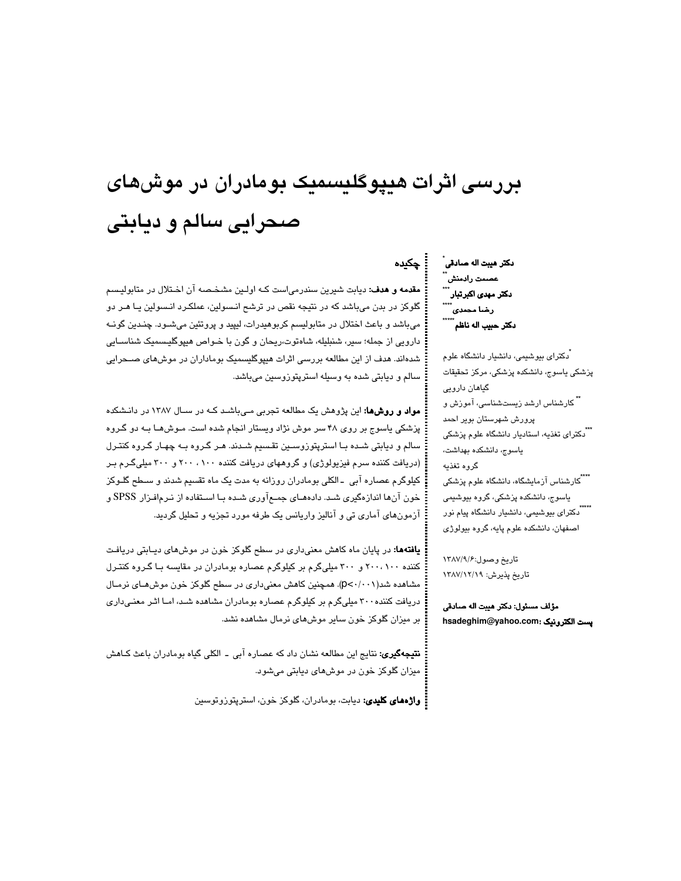# بررسی اثرات هیپوگلیسمیک بومادران در موشهای صحرایی سالم و دیابتی

مقدمه و هدف: ديابت شيرين سندرمياست كـه اولـين مشخـصه آن اخـتلال در متابوليسم گلوکز در بدن میباشد که در نتیجه نقص در ترشح انـسولین، عملکـرد انـسولین یـا هـر دو میباشد و باعث اختلال در متابولیسم کربوهیدرات، لیپید و پروتئین میشـود. چنـدین گونــه دارویی از جمله؛ سیر، شنبلیله، شاهتوت،ریحان و گون با خـواص هیپوگلیـسمیک شناسـابی شدهاند. هدف از این مطالعه بررسی اثرات هیپوگلیسمیک بوماداران در موشهای صــحرایی سالم و دیابتی شده به وسیله استرپتوزوسین میباشد.

مواد و روشها: این پژوهش یک مطالعه تجربی مـیباشـد کـه در سـال ۱۳۸۷ در دانـشکده پزشکی پاسوج بر روی ۴۸ سر موش نژاد ویستار انجام شده است. مـوش۵ـا بـه دو گـروه سالم و دیابتی شـده بـا استریتوزوسـین تقـسیم شـدند. هـر گـروه بـه چهـار گـروه کنتـرل (دریافت کننده سرم فیزیولوژی) و گروههای دریافت کننده ۱۰۰، ۲۰۰ و ۲۰۰ میلیگرم بر کیلوگرم عصاره آبی ـ الکلی بومادران روزانه به مدت یک ماه تقسیم شدند و سـطح گلـوکز خون آنها اندازهگیری شـد. دادههـای جمـع آوری شـده بـا اسـتفاده از نـرمافـزار SPSS و آزمونهای آماری تی و آنالیز واریانس یک طرفه مورد تجزیه و تحلیل گردید.

**یافتهها:** در پایان ماه کاهش معنیداری در سطح گلوکز خون در موشهای دیـابتی دریافت کننده ۲۰۰، ۲۰۰ و ۳۰۰ میلیگرم بر کیلوگرم عصاره بومادران در مقایسه با گروه کنترل مشاهده شد(p<-/·۰۱). همچنین کاهش معنیداری در سطح گلوکز خون موش *ه*ـای نرمـال دریافت کننده ۳۰۰ میلیگرم بر کیلوگرم عصاره بومادران مشاهده شد، امـا اثـر معنـیداری بر میزان گلوکز خون سایر موشهای نرمال مشاهده نشد.

**نتیجهگیری:** نتایج این مطالعه نشان داد که عصاره آبی ــ الکلی گیاه بومادران باعث کـاهش ميزان گلوکز خون در موشهای ديابتی میشود.

**: واژههای کلیدی:** دیابت، بومادران، گلوکز خون، استرپتوزوتوسین

دكتر هيبت اله صادقي ُ عصمت رادمنش ۔<br>دکتر مهد*ی* اکبرتبار۔۔۔۔<br>\*\*\*\* رضا مح*مدی* ً دكتر حبيب اله ناظم ً

۔ چکیدہ

.<br>دکترای بیوشیمی، دانشیار دانشگاه علوم پزشکی پاسوج، دانشکده پزشکی، مرکز تحقیقات گیاهان دارویی شکارشناس ارشد زیستشناسی، آموزش و پرورش شهرستان بویر احمد <sup>ٔ ``</sup>دکترای تغذیه، استادیار دانشگاه علوم پزشکی ياسوج، دانشكده بهداشت، گروه تغذيه یاسوج، دانشکده پزشکی، گروه بیوشیمی اصفهان، دانشکده علوم پایه، گروه بیولوژی

تاريخ وصول:١٣٨٧/٩/٤ تاريخ پذيرش: ١٣٨٧/١٢/١٩

مؤلف مسئول: دكتر هيبت اله صادقي hsadeghim@yahoo.com: يست الكترونيك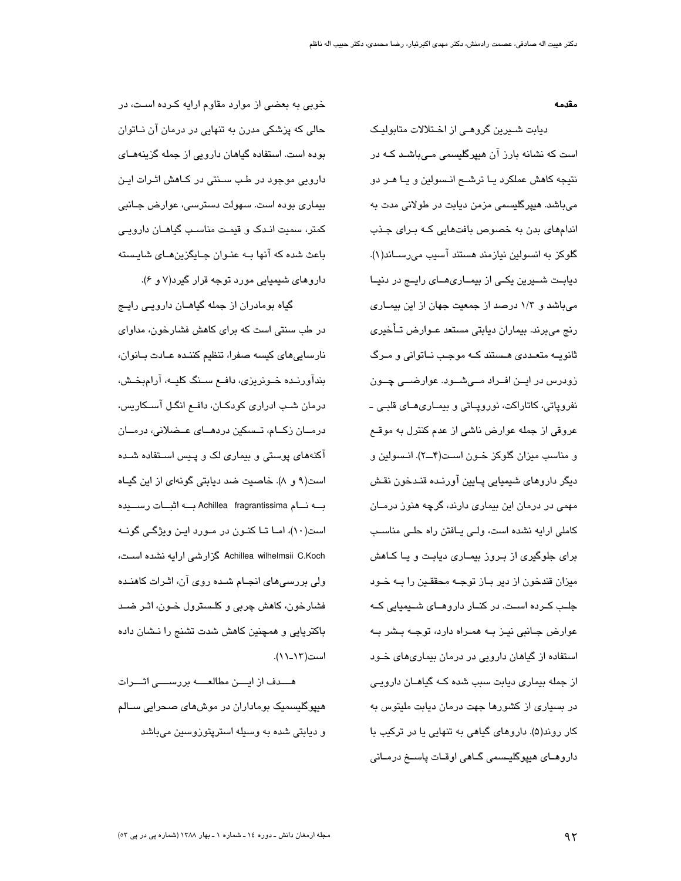مقدمه

دیابت شیرین گروهے از اختلالات متابولیک است که نشانه بارز آن هیپرگلیسمی مے،باشـد کـه در نتیجه کاهش عملکرد یـا ترشــح انـسولین و یـا هـر دو مىباشد. ھيپرگليسمى مزمن ديابت در طولانى مدت به اندامهای بدن به خصوص بافتهایی که برای جذب گلوکز به انسولین نیازمند هستند آسیب میرســاند(۱). دیابت شــیرین یکــی از بیمــاریهــای رایــج در دنیــا میباشد و ۱/۳ درصد از جمعیت جهان از این بیمـاری رنج مىبرند. بيماران ديابتي مستعد عـوارض تـأخيري ثانویـه متعـددی هـستند کـه موجـب نـاتوانی و مـرگ زودرس در ايــن افــراد مــیشــود. عوارضـــی چــون نفروپاتی، کاتاراکت، نوروپاتی و بیمـاریهـای قلبـی ـ عروقی از جمله عوارض ناشی از عدم کنترل به موقــع و مناسب میزان گلوکز خـون اسـت(۴ــ۲). انـسولین و دیگر داروهای شیمیایی پــایین آورنــده قنــدخون نقـش مهمی در درمان این بیماری دارند، گرچه هنوز درمــان كاملي ارايه نشده است، ولي يافتن راه حلبي مناسب برای جلوگیری از بـروز بیمـاری دیابـت و یـا کـاهش میزان قندخون از دیر بـاز توجـه محققـین را بـه خـود جلـب کــرده اســت. در کنــار داروهــای شــیمیایی کــه عوارض جـانبي نيـز بــه همـراه دارد، توجــه بـشر بــه استفاده از گیاهان دارویی در درمان بیماریهای خود از جمله بیماری دیابت سبب شده کـه گیاهــان دارویـی در بسیاری از کشورها جهت درمان دیابت ملیتوس به کار روند(۵). داروهای گیاهی به تنهایی یا در ترکیب با داروهـای هیپوگلیـسمی گـاهی اوقـات پاسـخ درمـانی

خوبی به بعضی از موارد مقاوم ارایه کـرده اسـت، در حالی که پزشکی مدرن به تنهایی در درمان آن نـاتوان بوده است. استفاده گیاهان دارویی از جمله گزینههـای دارویی موجود در طب سنتی در کـاهش اثـرات ایـن بیماری بوده است. سهولت دسترسی، عوارض جـانبی کمتر، سمیت انـدک و قیمـت مناسـب گیاهـان دارویـی باعث شده که آنها بـه عنـوان جـابگزین هـای شایـسته داروهای شیمیایی مورد توجه قرار گیرد(۷ و ۶).

گیاه بومادران از جمله گیاهــان دارویــی رایــج در طب سنتی است که برای کاهش فشارخون، مداوای نارسایی های کیسه صفرا، تنظیم کننـده عـادت بـانوان، بندآورنده خونریزی، دافع سنگ کلیــه، آرامبخـش، درمان شب ادراری کودکـان، دافـع انگـل آسـکاریس، درمــان زکــام، تــسکین دردهــای عــضلانی، درمــان آکنههای پوستی و بیماری لک و پـیس اسـتفاده شـده است(۹ و ۸). خاصیت ضد دیابتی گونهای از این گیـاه بــه نــام Achillea fragrantissima بــه اثبــات رســـيده است(۱۰)، امـا تـا کنـون در مـورد ايـن ويژگـی گونــه Achillea wilhelmsii C.Koch كزارشي ارايه نشده است، ولی بررسیهای انجـام شـده روی آن، اثـرات کاهنـده فشارخون، کاهش چربی و کلـسترول خـون، اثـر ضـد باکتریایی و همچنین کاهش شدت تشنج را نـشان داده است(۱۲\_۱۱).

هـــدف از ایــــن مطالعــــه بررســــی اثــــرات هیپوگلیسمیک بوماداران در موشهای صحرایی ســالم و ديابتي شده به وسيله استريتوزوسين ميباشد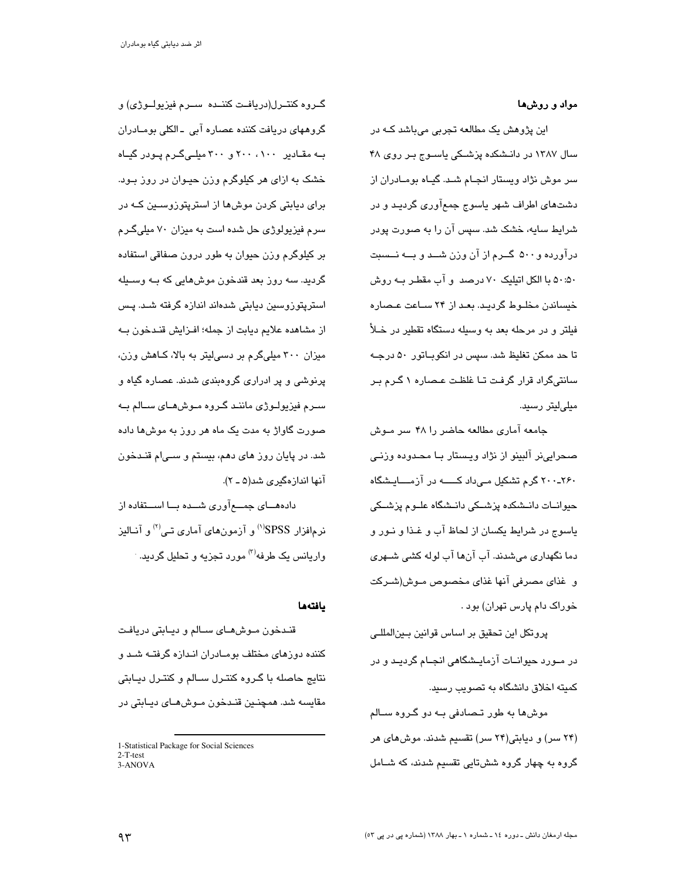#### مواد و روشها

این پژوهش یک مطالعه تجربی میباشد کـه در سال ۱۳۸۷ در دانـشکده پزشـکی یاسـوج بـر روی ۴۸ سر موش نژاد ویستار انجـام شـد. گیـاه بومـادران از دشتهای اطراف شهر پاسوج جمعآوری گردیـد و در شرایط سایه، خشک شد. سپس آن را به صورت پودر درآورده و۵۰۰ گــرم از آن وزن شــد و بــه نــسبت ۵۰:۵۰ با الکل اتیلیک ۷۰ درصد و آب مقطـر بــه روش خیساندن مخلـوط گردیـد. بعـد از ۲۴ ســاعت عـصـاره فیلتر و در مرحله بعد به وسیله دستگاه تقطیر در خـلأ تا حد ممکن تغلیظ شد. سپس در انکوبـاتور ۵۰ درجـه سانتیگراد قرار گرفت تـا غلظـت عـصاره ١ گـرم بـر مىلے لىتى رسىد.

جامعه آماری مطالعه حاضر را ۴۸ سر مـوش صحرايي نر آلبينو از نژاد ويستار بـا محـدوده وزنـي ۲۰۰-۲۶۰ گرم تشکیل مے داد کـــــه در آزمــــایـشگاه حیوانــات دانــشکده پزشــکی دانــشگاه علــوم پزشــکی ياسوج در شرايط يكسان از لحاظ آب و غـذا و نـور و دما نگهداری میشدند. آب آنها آب لوله کشی شــهری و غذاي مصرفي آنها غذاي مخصوص مـوش(شـركت خوراک دام پارس تهران) بود .

يروتكل اين تحقيق بر اساس قوانين بـينالمللـي در مــورد حیوانــات آزمایــشگاهی انجــام گردیــد و در کمیته اخلاق دانشگاه به تصویب رسید.

موش ها به طور تصادفی بـه دو گـروه سـالم (۲۴ سر) و دیابتی(۲۴ سر) تقسیم شدند. موش های هر گروه به چهار گروه ششتایی تقسیم شدند، که شــامل

گــروه کنتــرل(دريافــت کننــده ســرم فيزيولــوژي) و گروههای دریافت کننده عصاره آبی ۔الکلی بومـادران به مقادیر ۲۰۰، ۲۰۰ و ۳۰۰ میلی گرم پودر گیاه خشک به ازای هر کیلوگرم وزن حیـوان در روز بـود. برای دیابتی کردن موش۱ا از استریتوزوسـین کــه در سرم فیزیولوژی حل شده است به میزان ۷۰ میلیگرم بر کیلوگرم وزن حیوان به طور درون صفاقی استفاده گرديد. سه روز بعد قندخون موش۵ايي که بــه وســيله استرپتوزوسین دیابتی شدهاند اندازه گرفته شـد. پـس از مشاهده علایم دیابت از جمله؛ افـزایش قنـدخون بــه میزان ۳۰۰ میلیگرم بر دسی لیتر به بالا، کـاهش وزن، پرنوشی و پر ادراری گروهبندی شدند. عصاره گیاه و سـرم فيزيولـوژي ماننـد گـروه مـوشهـاي سـالم بـه صورت گاواژ به مدت یک ماه هر روز به موش۵ا داده شد. در پایان روز های دهم، بیستم و ســیام قنـدخون آنها اندازهگیری شد(۵ ـ ۲).

دادههـــای جمــــع آوری شـــده بـــا اســـتفاده از نرمافزار SPSS<sup>(۱)</sup> و آزمونهای آماری تـی<sup>(۲)</sup> و آنــالیز واریانس یک طرفه<sup>(۳)</sup> مورد تجزیه و تحلیل گردید.

#### يافتهها

قنـدخون مـوش،هـای سـالم و دیـابتی دریافـت کننده دوزهای مختلف بومـادران انـدازه گرفتـه شـد و نتايج حاصله با گـروه کنتـرل سـالم و کنتـرل ديـابتى مقايسه شد. همچنـين قنـدخون مـوشهـای ديـابتی در

<sup>1-</sup>Statistical Package for Social Sciences  $2-T-test$ 3-ANOVA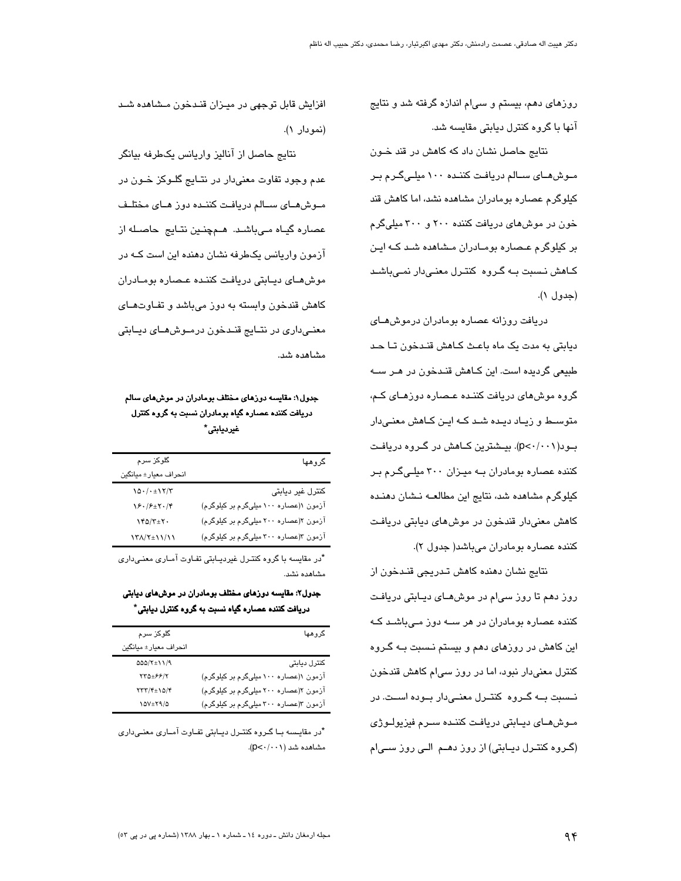روزهای دهم، بیستم و سیام اندازه گرفته شد و نتایج آنها با گروه کنترل دیابتی مقایسه شد.

نتایج حاصل نشان داد که کاهش در قند خـون مـوش هـای سـالم دریافت کننـده ۱۰۰ میلـی گـرم بـر کیلوگرم عصاره بومادران مشاهده نشد، اما کاهش قند خون در موش های دریافت کننده ۲۰۰ و ۳۰۰ میلیگرم بر کیلوگرم عـصاره بومـادران مـشاهده شـد کـه ایـن کـاهش نـسبت بــه گـروه کنتـرل معنـیدار نمـیباشـد (حدول ١).

دریافت روزانه عصاره بومادران درموشهای دیابتی به مدت یک ماه باعث کـاهش قنـدخون تـا حـد طبیعی گردیده است. این کـاهش قنـدخون در هـر سـه گروه موش های دریافت کننـده عـصاره دوزهـای کـم، متوسـط و زیـاد دیـده شـد کـه ایـن کـاهش معنـیدار بود(p<۰/۰۰۱). بیشترین کـاهش در گـروه دریافـت کننده عصاره بومادران بـه میـزان ۳۰۰ میلـیگـرم بـر کیلوگرم مشاهده شد، نتایج این مطالعـه نـشان دهنـده کاهش معنی،دار قندخون در موش های دیابتی دریافت كننده عصاره بومادران مي باشد (جدول ٢).

نتايج نشان دهنده كاهش تـدريجي قنـدخون از روز دهم تا روز سی|م در موشهــای دیــابتی دریافـت کننده عصاره بومادران در هر ســه دوز مـیباشـد کـه این کاهش در روزهای دهم و بیستم نـسبت بـه گـروه کنترل معنیدار نبود، اما در روز سیام کاهش قندخون نسبت بـه گـروه كنتـرل معنـىدار بـوده اسـت. در مـوش،مـای دیـابتی دریافت کننـده سـرم فیزیولـوژی (گروہ کنتـرل دیـابتی) از روز دھـم الـی روز سـی|م

افزایش قابل توجهی در میـزان قنـدخون مـشاهده شـد (نمو دار ۱).

نتایج حاصل از آنالیز واریانس یکطرفه بیانگر عدم وجود تفاوت معنیدار در نتـایج گلــوکز خــون در مـوش هـاى سـالم دريافت كننـده دوز هـاى مختلـف عصاره گیـاه مـیباشـد. هـمچنـین نتـایج حاصـله از آزمون واریانس یکطرفه نشان دهنده این است کــه در موشهای دیابتی دریافت کننده عصاره بومادران کاهش قندخون وابسته به دوز میباشد و تفـاوتهـای معنـیداری در نتـایج قنـدخون درمـوش هـای دیـابتی مشاهده شد.

## جدول۱: مقایسه دوزهای مختلف بومادران در موشهای سالم دریافت کننده عصاره گیاه بومادران نسبت به گروه کنترل غیردیابتی\*

| گلوکز سرم                                                                                                                                                                                                                                                                                                                                                                                                                                                                                                                                                                                                                                                                                                                                                    | گروهها                                |
|--------------------------------------------------------------------------------------------------------------------------------------------------------------------------------------------------------------------------------------------------------------------------------------------------------------------------------------------------------------------------------------------------------------------------------------------------------------------------------------------------------------------------------------------------------------------------------------------------------------------------------------------------------------------------------------------------------------------------------------------------------------|---------------------------------------|
| انحراف معيار± ميانگين                                                                                                                                                                                                                                                                                                                                                                                                                                                                                                                                                                                                                                                                                                                                        |                                       |
| $\Lambda \Delta \cdot /\cdot \pm \Lambda \Upsilon/\Upsilon$                                                                                                                                                                                                                                                                                                                                                                                                                                                                                                                                                                                                                                                                                                  | كنترل غير ديابتى                      |
| $\sqrt{2} \cdot \sqrt{2} \pm \sqrt{2} \cdot \sqrt{2}$                                                                                                                                                                                                                                                                                                                                                                                                                                                                                                                                                                                                                                                                                                        | آزمون ۱(عصاره ۱۰۰ میلیگرم بر کیلوگرم) |
| $\gamma \gamma \Delta / \gamma \pm \gamma \, .$                                                                                                                                                                                                                                                                                                                                                                                                                                                                                                                                                                                                                                                                                                              | آزمون ۲(عصاره ۲۰۰ میلیگرم بر کیلوگرم) |
| $\left.\left.\left.\left.\left.\right.\right\rangle \right.\left.\left.\left.\right\langle \right.\right.\left\langle \right.\left\langle \right.\left\langle \right.\right.\left\langle \right.\left\langle \right.\left\langle \right.\left\langle \right.\left\langle \right.\left\langle \right.\left\langle \right.\left\langle \right.\left\langle \right.\left\langle \right.\left\langle \right.\left\langle \right.\left\langle \right.\left\langle \right.\left\langle \right.\left\langle \right.\left\langle \right.\left\langle \right.\left\langle \right.\left\langle \right.\left\langle \right.\left\langle \right.\left\langle \right.\left\langle \right.\left\langle \right.\left\langle \right.\left\langle \right.\left\langle \right$ | آزمون ۳(عصاره ۳۰۰ میلیگرم بر کیلوگرم) |

\*در مقاسیه یا گروه کنترل غیردیبایتی تفیاوت آمباری معنیداری وشاهده نشد

جدول۲: مقایسه دورهای مختلف بومادران در موشهای دیابتی دريافت کننده عصاره گياه نسبت به گروه کنترل ديابتي\*

| گلوکز سرم                                                         | گروهها                                |
|-------------------------------------------------------------------|---------------------------------------|
| انحراف معيار ± ميانگين                                            |                                       |
| $\Delta\Delta\Delta/\Upsilon\pm1~1/9$                             | كنترل ديابتى                          |
| $\Upsilon \Upsilon \Delta \pm \mathcal{F} \mathcal{F} / \Upsilon$ | آزمون ۱(عصاره ۱۰۰ میلیگرم بر کیلوگرم) |
| $\tau\tau\tau/\tau_{\pm}$ \ $\Delta/\tau$                         | آزمون ۲(عصاره ۲۰۰ میلیگرم بر کیلوگرم) |
| $10V \pm 79/0$                                                    | آزمون ۳(عصاره ۳۰۰ میلیگرم بر کیلوگرم) |

\*در مقایسه بـا گـروه کنتـرل دیـابتی تفـاوت آمـاری معنـیداری مشاهده شد (p<٠/٠٠١).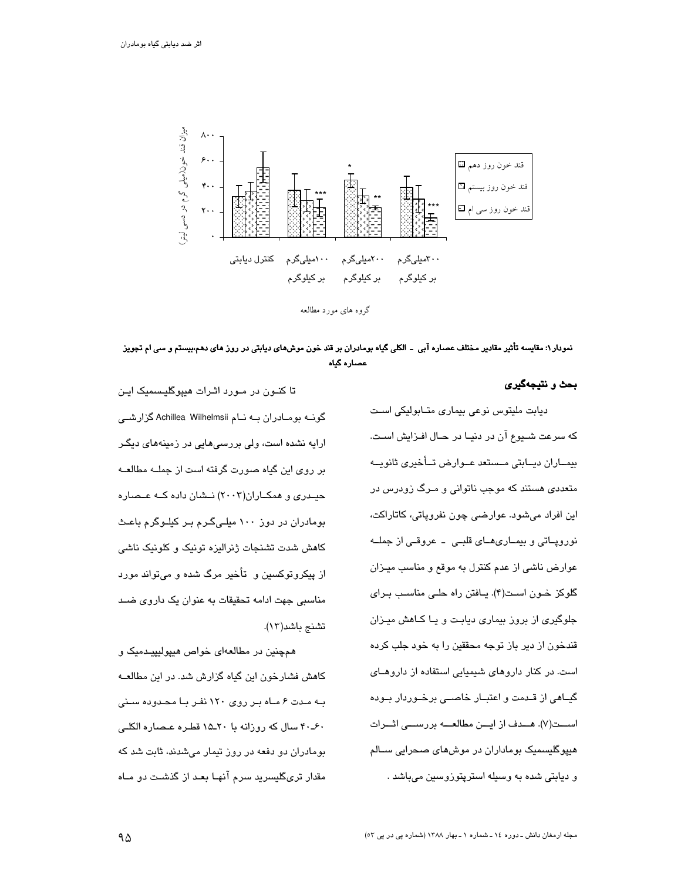

نمودار۱: مقایسه تأثیر مقادیر مختلف عصاره آبی ـ الکلی گیاه بومادران بر قند خون موشهای دیابتی در روز های دهم،بیستم و سی ام تجویز عصاره گیاه

بحث و نتيجهگيري

دیابت ملیتوس نوعی بیماری متابولیکی است كه سرعت شـيوع آن در دنيـا در حـال افـزايش اسـت. بيمــاران ديــابتي مــستعد عــوارض تــأخيري ثانويــه متعددی هستند که موجب ناتوانی و مـرگ زودرس در اين افراد مي شود. عوارضي چون نفروپاتي، کاتاراکت، نوروپاتی و بیمـاریهـای قلبـی - عروقـی از جملــه عوارض ناشی از عدم کنترل به موقع و مناسب میـزان گلوکز خون است(۴). یافتن راه حلبی مناسب برای جلوگیری از بروز بیماری دیابت و یـا کـاهش میـزان قندخون از دیر باز توجه محققین را به خود جلب کرده است. در کنار داروهای شیمیایی استفاده از داروهـای گیــاهی از قــدمت و اعتبــار خاصــی برخــوردار بــوده اســـت(٧). هـــدف از ايـــن مطالعــــه بررســـى اثـــرات هیپوگلیسمیک بوماداران در موشهای صحرایی ســالم و دیابتی شده به وسیله استرپتوزوسین میباشد .

تا کنـون در مـورد اثـرات هیپوگلیـسمیک ایـن گونــه بومــادران بــه نــام Achillea Wilhelmsii گزارشــی ارایه نشده است، ولی بررسی هایی در زمینههای دیگـر بر روی این گیاه صورت گرفته است از جملـه مطالعـه حیدری و همکـاران(۲۰۰۳) نـشان داده کـه عـصاره بومادران در دوز ۱۰۰ میلیگرم بر کیلوگرم باعث كاهش شدت تشنجات ژنرالیزه تونیک و كلونیک ناشی از پیکروتوکسین و تأخیر مرگ شده و میتواند مورد مناسبی جهت ادامه تحقیقات به عنوان یک داروی ضد تشنج باشد(١٢).

همچنین در مطالعهای خواص هیپولیپیدمیک و کاهش فشارخون این گیاه گزارش شد. در این مطالعـه به مدت ۶ ماه بر روی ۱۲۰ نفر با محدوده سنی ۴۰ـ۴۰ سال كه روزانه با ۲۰ـ۱۵ قطره عصاره الكلبي بومادران دو دفعه در روز تیمار میشدند، ثابت شد که مقدار تریگلیسرید سرم آنهـا بعـد از گذشـت دو مـاه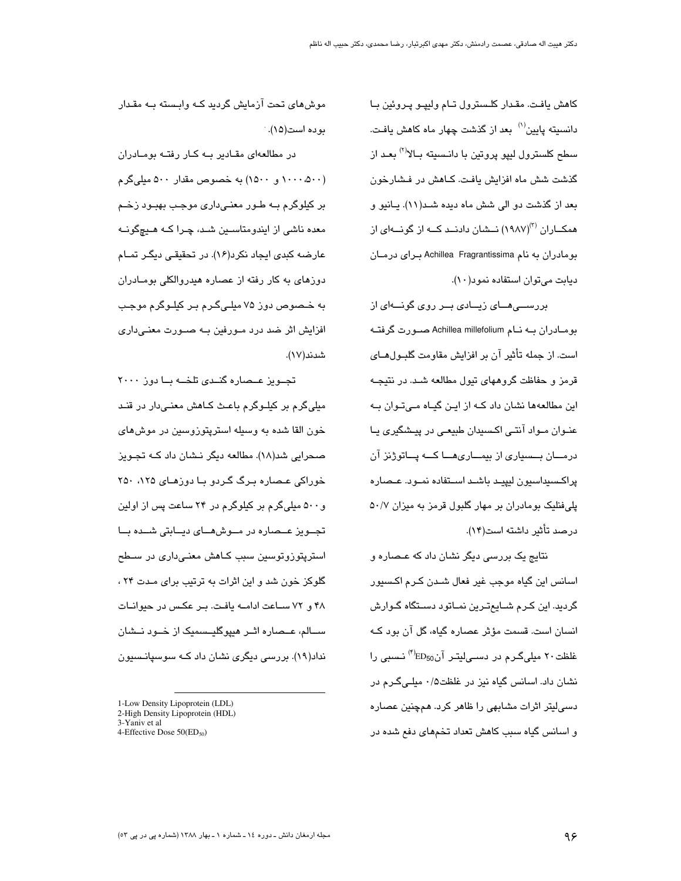كاهش يافت. مقدار كلسترول تام وليپو پروئين با دانسیته پایین<sup>(۱)</sup> بعد از گذشت چهار ماه کاهش یافت. سطح کلسترول ليپو پروتين با دانـسيته بـالا<sup>(۲)</sup> بعـد از گذشت شش ماه افزایش یافت. کـاهش در فـشارخون بعد از گذشت دو الی شش ماه دیده شـد(١١). پـانیو و همکــاران (۱۹۸۷)<sup>۲)</sup> نــشان دادنــد کــه از گونـــهای از بومادران به نام Achillea Fragrantissima برای درمـان دیابت میتوان استفاده نمود(١٠).

بررســـی هـــای زیـــادی بـــر روی گونـــهای از بومادران بـه نـام Achillea millefolium صـورت گرفتـه است. از جمله تأثیر آن بر افزایش مقاومت گلبـولهــای قرمز و حفاظت گروههای تیول مطالعه شـد. در نتیجـه این مطالعهها نشان داد کـه از ایـن گیـاه مـے تـوان پـه عنـوان مـواد آنتـی اکـسیدان طبیعـی در پیـشگیری یـا درمـــان بـــسیاری از بیمـــاری۵ـــا کـــه پـــاتوژنز آن پراكسىيداسيون ليپيـد باشـد اسـتفاده نمـود. عـصاره پلیفنلیک بومادران بر مهار گلبول قرمز به میزان ۵۰/۷ درصد تأثير داشته است(۱۴).

نتایج یک بررسی دیگر نشان داد که عـصاره و اسانس این گیاہ موجب غیر فعال شـدن کـرم اکـسیور گردید. این کـرم شــایـمتـرین نمــاتود دســتگاه گــوارش انسان است. قسمت مؤثر عصاره گیاه، گل آن بود کـه غلظت ۲۰ میلیگـرم در دسـیلیتـر آنED<sub>50</sub>% نـسبی را نشان داد. اسانس گیاه نیز در غلظت۱/۵ میلـیگـرم در دسی!پتر اثرات مشابهی را ظاهر کرد. همچنین عصاره و اسانس گیاه سبب کاهش تعداد تخمهای دفع شده در

موش های تحت آزمایش گردید کـه وابـسته بـه مقـدار بو ده است(۱۵).

در مطالعهای مقادیر به کار رفته بومادران (۵۰۰، ۱۰۰۰۰ و ۱۵۰۰) به خصوص مقدار ۵۰۰ میلیگرم بر کیلوگرم بــه طــور معنــیداری موجـب بهبــود زخــم معدہ ناشی از ایندومتاسـین شـد، چـرا کـه هـیچگونـه عارضه کبدی ایجاد نکرد(۱۶). در تحقیقی دیگر تمـام دوزهای به کار رفته از عصاره هیدروالکلی بومـادران به خـصوص دوز ۷۵ میلـیگـرم بـر کیلـوگرم موجـب افزایش اثر ضد درد مـورفین بـه صـورت معنـی،اری شدند(۱۷).

تجـویز عـصاره گنـدی تلخــه بــا دوز ٢٠٠٠ مبلے گرم پر کیلیوگرم پاعث کیاھش معنے دار در قنید خون القا شده به وسیله استریتوزوسین در موش *ه*ای صحرایی شد(۱۸). مطالعه دیگر نـشان داد کــه تجـویز خوراکی عـصاره بـرگ گـردو بـا دوزهـای ۲۵۰ ۲۵۰ و ۵۰۰ میلیگرم بر کیلوگرم در ۲۴ ساعت پس از اولین تجــویز عــصاره در مــوشهــای دیــابتی شــده بــا استرپتوزوتوسین سبب کـاهش معنـی،داری در سـطح گلوکز خون شد و این اثرات به ترتیب برای مـدت ۲۴ ، ۴۸ و ۷۲ ساعت ادامه یافت. بر عکس در حیوانات ســالم، عــصاره اثــر هبیوگلیــسمیک از خــود نــشان نداد(۱۹). بررسی دیگری نشان داد کـه سوسپانـسیون

<sup>1-</sup>Low Density Lipoprotein (LDL)

<sup>2-</sup>High Density Lipoprotein (HDL) 3-Yaniv et al

<sup>4-</sup>Effective Dose 50(ED<sub>50</sub>)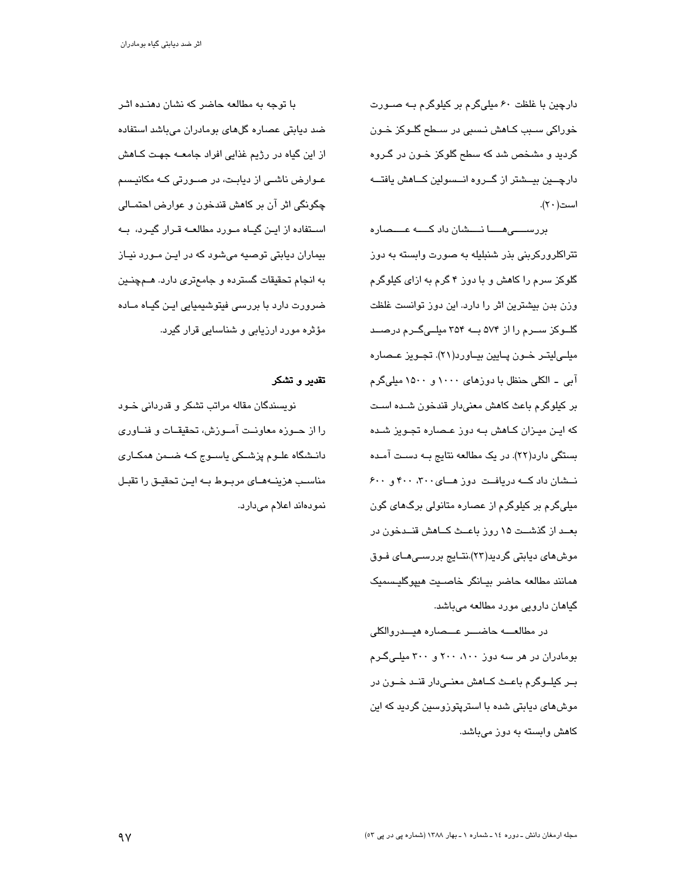دارچین با غلظت ۶۰ میلیگرم بر کیلوگرم بـه صـورت خوراکی سـبب کـاهش نـسبی در سـطح گلـوکز خـون گردید و مشخص شد که سطح گلوکز خـون در گـروه دارچـــین بیـــشتر از گـــروه انـــسولین کـــاهش یافتـــه است(۲۰).

بررســــیهــــا نــــشان داد کــــه عــــصاره تتراکلرورکرېنې بذر شنبليله به صورت وابسته به دوز گلوکز سرم را کاهش و با دوز ۴ گرم به ازای کیلوگرم وزن بدن بیشترین اثر را دارد. این دوز توانست غلظت گلــوکز ســرم را از ۵۷۴ بــه ۳۵۴ میلــیگــرم درصــد ميلے ليتـر خـون پــايين بيــاورد(٢١). تجـويز عــصاره آبی ۔ الکلی حنظل با دوزهای ۱۰۰۰ و ۱۵۰۰ میلیگرم بر کیلوگرم باعث کاهش معنیدار قندخون شـده اسـت که ایـن میـزان کـاهش بــه دوز عـصـاره تجـویز شــده بستگی دارد(۲۲). در یک مطالعه نتایج بــه دسـت آمـده نشان داد که دریافت دوز های ٣٠٠، ۴٠٠ و ۶٠٠ میلیگرم بر کیلوگرم از عصاره متانولی برگهای گون بعــد از گذشــت ۱۵ روز باعــث كــاهش قنــدخون در موش های دیابتی گردید(۲۳).نتـایج بررسـی هـای فـوق همانند مطالعه حاضر بيانكر خاصيت هييوكليسميك گیاهان دارویی مورد مطالعه میباشد.

در مطالعــــه حاضــــر عـــصاره هيـــدروالكلي بومادران در هر سه دوز ۱۰۰، ۲۰۰ و ۳۰۰ میلیگرم بـر کیلــوگرم باعــث کــاهش معنــیدار قنــد خــون در موش۵ای دیابتی شده با استرپتوزوسین گردید که این کاهش وابسته به دوز میباشد.

با توجه به مطالعه حاضر که نشان دهنـده اثـر ضد ديابتي عصاره گلهاي بومادران ميباشد استفاده از این گیاه در رژیم غذایی افراد جامعــه جهـت کــاهش عـوارض ناشـی از دیابـت، در صـورتی کـه مکانیـسم چگونگی اثر آن بر کاهش قندخون و عوارض احتمــالی اســتفاده از ایــن گیــاه مــورد مطالعــه قــرار گیــرد، بــه بیماران دیابتی توصیه میشود که در این مورد نیاز به انجام تحقیقات گسترده و جامعتری دارد. هــمچنــین ضرورت دارد با بررسی فیتوشیمیایی ایـن گیـاه مـاده مؤثره مورد ارزیابی و شناسایی قرار گیرد.

### تقدیر و تشکر

نویسندگان مقاله مراتب تشکر و قدردانی خـود را از حـوزه معاونـت آمـوزش، تحقیقــات و فنــاوری دانــشگاه علــوم پزشــکی پاســوج کــه ضــمن همکــاری مناسب هزینــهمــای مربــوط بــه ایــن تحقیــق را تقبــل نمودهاند اعلام میدارد.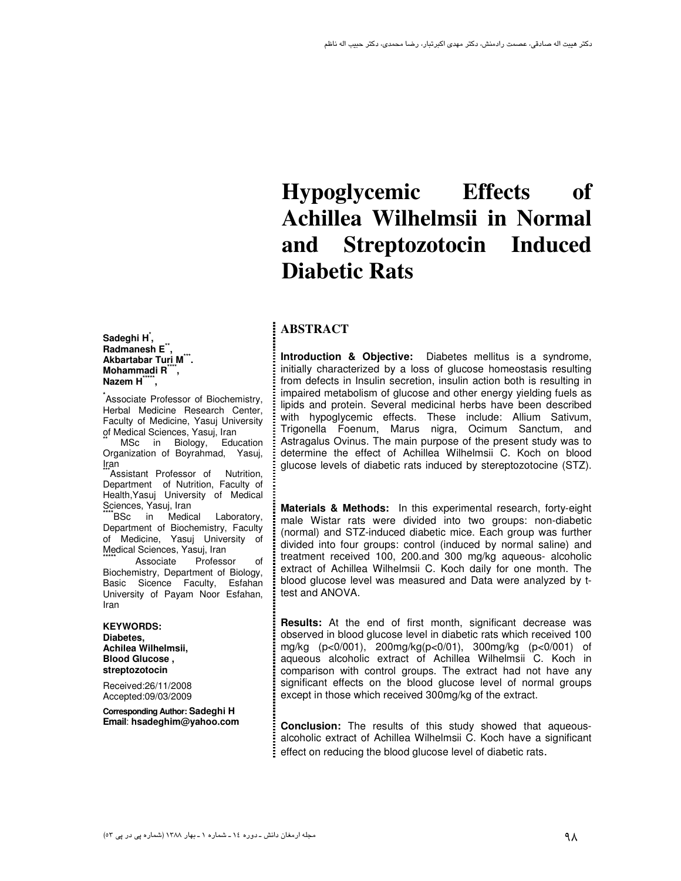**Sadeghi H\* , Radmanesh E\*\* , Akbartabar Turi M\*\*\* . Mohammadi R\*\*\*\* , Nazem H\*\*\*\*\* ,** 

**\*** Associate Professor of Biochemistry, Herbal Medicine Research Center, Faculty of Medicine, Yasuj University of Medical Sciences, Yasuj, Iran

MSc in Biology, Education Organization of Boyrahmad, Yasuj, Iran

<sup>\*</sup>Assistant Professor of Nutrition. Department of Nutrition, Faculty of Health,Yasuj University of Medical Sciences, Yasuj, Iran

**BSc** in Medical Laboratory, Department of Biochemistry, Faculty of Medicine, Yasuj University of Medical Sciences, Yasuj, Iran

Associate Professor of Biochemistry, Department of Biology, Basic Sicence Faculty, Esfahan University of Payam Noor Esfahan, Iran

 **KEYWORDS: Diabetes, Achilea Wilhelmsii, Blood Glucose , streptozotocin** 

Received:26/11/2008 Accepted:09/03/2009

**Corresponding Author: Sadeghi H Email**: **hsadeghim@yahoo.com** 

# **Hypoglycemic Effects of Achillea Wilhelmsii in Normal and Streptozotocin Induced Diabetic Rats**

# **ABSTRACT**

**Introduction & Objective:** Diabetes mellitus is a syndrome, initially characterized by a loss of glucose homeostasis resulting from defects in Insulin secretion, insulin action both is resulting in impaired metabolism of glucose and other energy yielding fuels as lipids and protein. Several medicinal herbs have been described with hypoglycemic effects. These include: Allium Sativum, Trigonella Foenum, Marus nigra, Ocimum Sanctum, and Astragalus Ovinus. The main purpose of the present study was to determine the effect of Achillea Wilhelmsii C. Koch on blood glucose levels of diabetic rats induced by stereptozotocine (STZ). Ī

**Materials & Methods:** In this experimental research, forty-eight male Wistar rats were divided into two groups: non-diabetic (normal) and STZ-induced diabetic mice. Each group was further divided into four groups: control (induced by normal saline) and treatment received 100, 200.and 300 mg/kg aqueous- alcoholic extract of Achillea Wilhelmsii C. Koch daily for one month. The blood glucose level was measured and Data were analyzed by ttest and ANOVA.

**Results:** At the end of first month, significant decrease was observed in blood glucose level in diabetic rats which received 100 mg/kg (p<0/001), 200mg/kg(p<0/01), 300mg/kg (p<0/001) of aqueous alcoholic extract of Achillea Wilhelmsii C. Koch in comparison with control groups. The extract had not have any significant effects on the blood glucose level of normal groups except in those which received 300mg/kg of the extract.

**Conclusion:** The results of this study showed that aqueousalcoholic extract of Achillea Wilhelmsii C. Koch have a significant effect on reducing the blood glucose level of diabetic rats.